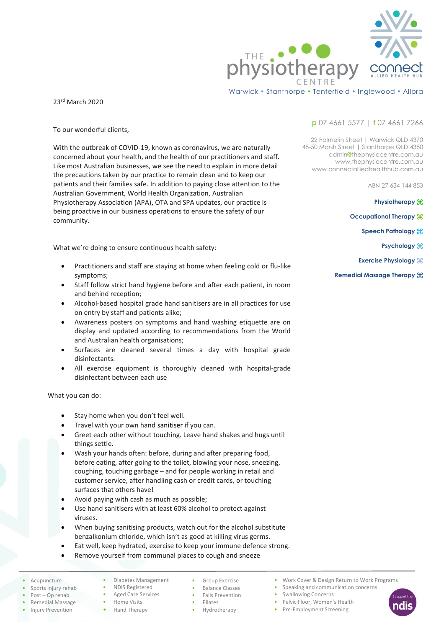

Warwick • Stanthorpe • Tenterfield • Inglewood • Allora

23rd March 2020

To our wonderful clients,

With the outbreak of COVID-19, known as coronavirus, we are naturally concerned about your health, and the health of our practitioners and staff. Like most Australian businesses, we see the need to explain in more detail the precautions taken by our practice to remain clean and to keep our patients and their families safe. In addition to paying close attention to the Australian Government, World Health Organization, Australian Physiotherapy Association (APA), OTA and SPA updates, our practice is being proactive in our business operations to ensure the safety of our community.

What we're doing to ensure continuous health safety:

- Practitioners and staff are staying at home when feeling cold or flu-like symptoms;
- Staff follow strict hand hygiene before and after each patient, in room and behind reception;
- Alcohol-based hospital grade hand sanitisers are in all practices for use on entry by staff and patients alike;
- Awareness posters on symptoms and hand washing etiquette are on display and updated according to recommendations from the World and Australian health organisations;
- Surfaces are cleaned several times a day with hospital grade disinfectants.
- All exercise equipment is thoroughly cleaned with hospital-grade disinfectant between each use

What you can do:

- Stay home when you don't feel well.
- Travel with your own hand sanitiser if you can.
- Greet each other without touching. Leave hand shakes and hugs until things settle.
- Wash your hands often: before, during and after preparing food, before eating, after going to the toilet, blowing your nose, sneezing, coughing, touching garbage – and for people working in retail and customer service, after handling cash or credit cards, or touching surfaces that others have!
- Avoid paying with cash as much as possible;
- Use hand sanitisers with at least 60% alcohol to protect against viruses.
- When buying sanitising products, watch out for the alcohol substitute benzalkonium chloride, which isn't as good at killing virus germs.
- Eat well, keep hydrated, exercise to keep your immune defence strong.
- Remove yourself from communal places to cough and sneeze
- **Acupuncture**
- Sports injury rehab
- Post Op rehab
- Remedial Massage
- Injury Prevention
- Diabetes Management • NDIS Registered

• Aged Care Services • Home Visits • Hand Therapy

- Group Exercise • Balance Classes
- Falls Prevention
- Pilates
- Hydrotherapy

**p** 07 4661 5577 | **f** 07 4661 7266

22 Palmerin Street | Warwick QLD 4370 48-50 Marsh Street | Stanthorpe QLD 4380 admin**@**thephysiocentre.com.au www.thephysiocentre.com.au www.connectalliedhealthhub.com.au

ABN 27 634 144 853

**Physiotherapy** ⌘

- **Occupational Therapy**  $\frac{100}{100}$ 
	- **Speech Pathology**  $\frac{1}{2}$ 
		- **Psychology**  $#$
	- **Exercise Physiology** ⌘
- **Remedial Massage Therapy** ⌘

- Work Cover & Design Return to Work Programs
- Speaking and communication concerns
- Swallowing Concerns
- Pelvic Floor, Women's Health • Pre-Employment Screening